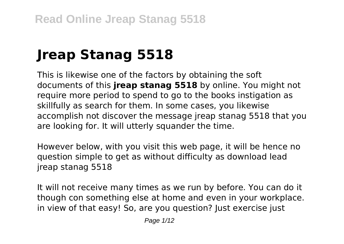# **Jreap Stanag 5518**

This is likewise one of the factors by obtaining the soft documents of this **jreap stanag 5518** by online. You might not require more period to spend to go to the books instigation as skillfully as search for them. In some cases, you likewise accomplish not discover the message jreap stanag 5518 that you are looking for. It will utterly squander the time.

However below, with you visit this web page, it will be hence no question simple to get as without difficulty as download lead jreap stanag 5518

It will not receive many times as we run by before. You can do it though con something else at home and even in your workplace. in view of that easy! So, are you question? Just exercise just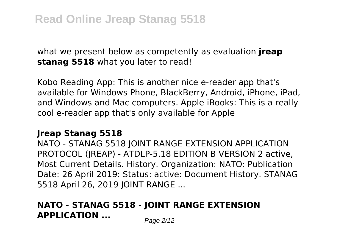what we present below as competently as evaluation **jreap stanag 5518** what you later to read!

Kobo Reading App: This is another nice e-reader app that's available for Windows Phone, BlackBerry, Android, iPhone, iPad, and Windows and Mac computers. Apple iBooks: This is a really cool e-reader app that's only available for Apple

#### **Jreap Stanag 5518**

NATO - STANAG 5518 JOINT RANGE EXTENSION APPLICATION PROTOCOL (JREAP) - ATDLP-5.18 EDITION B VERSION 2 active, Most Current Details. History. Organization: NATO: Publication Date: 26 April 2019: Status: active: Document History. STANAG 5518 April 26, 2019 JOINT RANGE ...

### **NATO - STANAG 5518 - JOINT RANGE EXTENSION APPLICATION** ... Page 2/12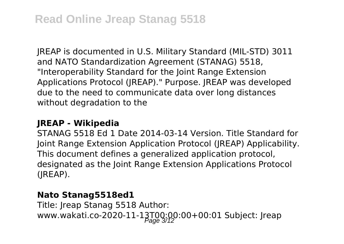JREAP is documented in U.S. Military Standard (MIL-STD) 3011 and NATO Standardization Agreement (STANAG) 5518, "Interoperability Standard for the Joint Range Extension Applications Protocol (JREAP)." Purpose. JREAP was developed due to the need to communicate data over long distances without degradation to the

#### **JREAP - Wikipedia**

STANAG 5518 Ed 1 Date 2014-03-14 Version. Title Standard for Joint Range Extension Application Protocol (JREAP) Applicability. This document defines a generalized application protocol, designated as the Joint Range Extension Applications Protocol (JREAP).

#### **Nato Stanag5518ed1**

Title: Jreap Stanag 5518 Author: www.wakati.co-2020-11-13T00:00:00+00:01 Subject: Jreap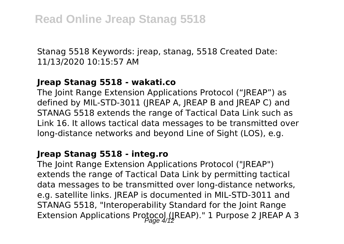Stanag 5518 Keywords: jreap, stanag, 5518 Created Date: 11/13/2020 10:15:57 AM

#### **Jreap Stanag 5518 - wakati.co**

The Joint Range Extension Applications Protocol ("JREAP") as defined by MIL-STD-3011 (JREAP A, JREAP B and JREAP C) and STANAG 5518 extends the range of Tactical Data Link such as Link 16. It allows tactical data messages to be transmitted over long-distance networks and beyond Line of Sight (LOS), e.g.

#### **Jreap Stanag 5518 - integ.ro**

The Joint Range Extension Applications Protocol ("JREAP") extends the range of Tactical Data Link by permitting tactical data messages to be transmitted over long-distance networks, e.g. satellite links. JREAP is documented in MIL-STD-3011 and STANAG 5518, "Interoperability Standard for the Joint Range Extension Applications Protocol (JREAP)." 1 Purpose 2 JREAP A 3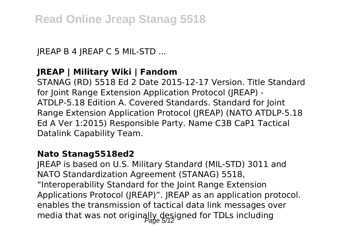JREAP B 4 JREAP C 5 MIL-STD ...

### **JREAP | Military Wiki | Fandom**

STANAG (RD) 5518 Ed 2 Date 2015-12-17 Version. Title Standard for Joint Range Extension Application Protocol (JREAP) - ATDLP-5.18 Edition A. Covered Standards. Standard for Joint Range Extension Application Protocol (JREAP) (NATO ATDLP-5.18 Ed A Ver 1:2015) Responsible Party. Name C3B CaP1 Tactical Datalink Capability Team.

#### **Nato Stanag5518ed2**

JREAP is based on U.S. Military Standard (MIL-STD) 3011 and NATO Standardization Agreement (STANAG) 5518, "Interoperability Standard for the Joint Range Extension Applications Protocol (JREAP)". JREAP as an application protocol. enables the transmission of tactical data link messages over media that was not originally designed for TDLs including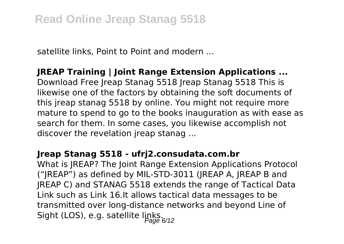satellite links, Point to Point and modern ...

#### **JREAP Training | Joint Range Extension Applications ...**

Download Free Jreap Stanag 5518 Jreap Stanag 5518 This is likewise one of the factors by obtaining the soft documents of this jreap stanag 5518 by online. You might not require more mature to spend to go to the books inauguration as with ease as search for them. In some cases, you likewise accomplish not discover the revelation jreap stanag ...

#### **Jreap Stanag 5518 - ufrj2.consudata.com.br**

What is JREAP? The Joint Range Extension Applications Protocol ("JREAP") as defined by MIL-STD-3011 (JREAP A, JREAP B and JREAP C) and STANAG 5518 extends the range of Tactical Data Link such as Link 16.It allows tactical data messages to be transmitted over long-distance networks and beyond Line of Sight (LOS), e.g. satellite links.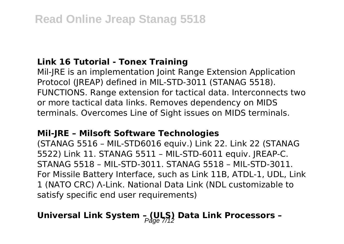#### **Link 16 Tutorial - Tonex Training**

Mil-JRE is an implementation Joint Range Extension Application Protocol (JREAP) defined in MIL-STD-3011 (STANAG 5518). FUNCTIONS. Range extension for tactical data. Interconnects two or more tactical data links. Removes dependency on MIDS terminals. Overcomes Line of Sight issues on MIDS terminals.

#### **Mil-JRE – Milsoft Software Technologies**

(STANAG 5516 – MIL-STD6016 equiv.) Link 22. Link 22 (STANAG 5522) Link 11. STANAG 5511 – MIL-STD-6011 equiv. JREAP-C. STANAG 5518 – MIL-STD-3011. STANAG 5518 – MIL-STD-3011. For Missile Battery Interface, such as Link 11B, ATDL-1, UDL, Link 1 (NATO CRC) Λ-Link. National Data Link (NDL customizable to satisfy specific end user requirements)

# Universal Link System - (ULS) Data Link Processors -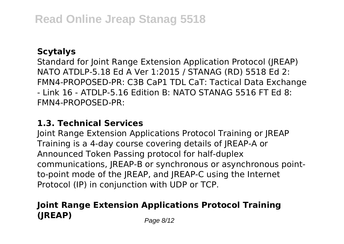#### **Scytalys**

Standard for Joint Range Extension Application Protocol (JREAP) NATO ATDLP-5.18 Ed A Ver 1:2015 / STANAG (RD) 5518 Ed 2: FMN4-PROPOSED-PR: C3B CaP1 TDL CaT: Tactical Data Exchange - Link 16 - ATDLP-5.16 Edition B: NATO STANAG 5516 FT Ed 8: FMN4-PROPOSED-PR:

#### **1.3. Technical Services**

Joint Range Extension Applications Protocol Training or JREAP Training is a 4-day course covering details of JREAP-A or Announced Token Passing protocol for half-duplex communications, JREAP-B or synchronous or asynchronous pointto-point mode of the JREAP, and JREAP-C using the Internet Protocol (IP) in conjunction with UDP or TCP.

## **Joint Range Extension Applications Protocol Training (JREAP)** Page 8/12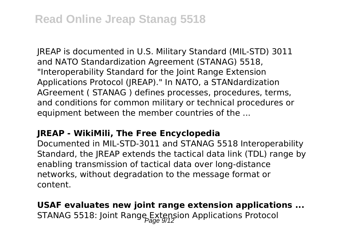JREAP is documented in U.S. Military Standard (MIL-STD) 3011 and NATO Standardization Agreement (STANAG) 5518, "Interoperability Standard for the Joint Range Extension Applications Protocol (JREAP)." In NATO, a STANdardization AGreement ( STANAG ) defines processes, procedures, terms, and conditions for common military or technical procedures or equipment between the member countries of the ...

#### **JREAP - WikiMili, The Free Encyclopedia**

Documented in MIL-STD-3011 and STANAG 5518 Interoperability Standard, the IREAP extends the tactical data link (TDL) range by enabling transmission of tactical data over long-distance networks, without degradation to the message format or content.

**USAF evaluates new joint range extension applications ...** STANAG 5518: Joint Range Extension Applications Protocol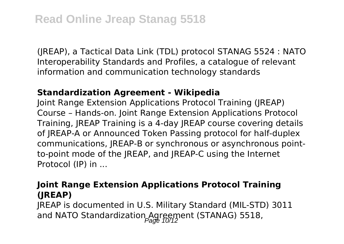(JREAP), a Tactical Data Link (TDL) protocol STANAG 5524 : NATO Interoperability Standards and Profiles, a catalogue of relevant information and communication technology standards

#### **Standardization Agreement - Wikipedia**

Joint Range Extension Applications Protocol Training (JREAP) Course – Hands-on. Joint Range Extension Applications Protocol Training, JREAP Training is a 4-day JREAP course covering details of JREAP-A or Announced Token Passing protocol for half-duplex communications, JREAP-B or synchronous or asynchronous pointto-point mode of the JREAP, and JREAP-C using the Internet Protocol (IP) in ...

#### **Joint Range Extension Applications Protocol Training (JREAP)**

JREAP is documented in U.S. Military Standard (MIL-STD) 3011 and NATO Standardization Agreement (STANAG) 5518,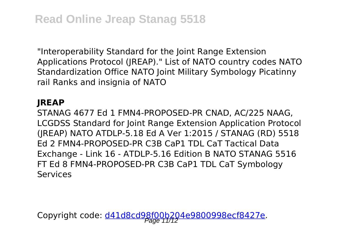"Interoperability Standard for the Joint Range Extension Applications Protocol (JREAP)." List of NATO country codes NATO Standardization Office NATO Joint Military Symbology Picatinny rail Ranks and insignia of NATO

#### **JREAP**

STANAG 4677 Ed 1 FMN4-PROPOSED-PR CNAD, AC/225 NAAG, LCGDSS Standard for Joint Range Extension Application Protocol (JREAP) NATO ATDLP-5.18 Ed A Ver 1:2015 / STANAG (RD) 5518 Ed 2 FMN4-PROPOSED-PR C3B CaP1 TDL CaT Tactical Data Exchange - Link 16 - ATDLP-5.16 Edition B NATO STANAG 5516 FT Ed 8 FMN4-PROPOSED-PR C3B CaP1 TDL CaT Symbology Services

Copyright code: <u>d41d8cd98f00b204e9800998ecf8427e</u>.<br>Page 11/12